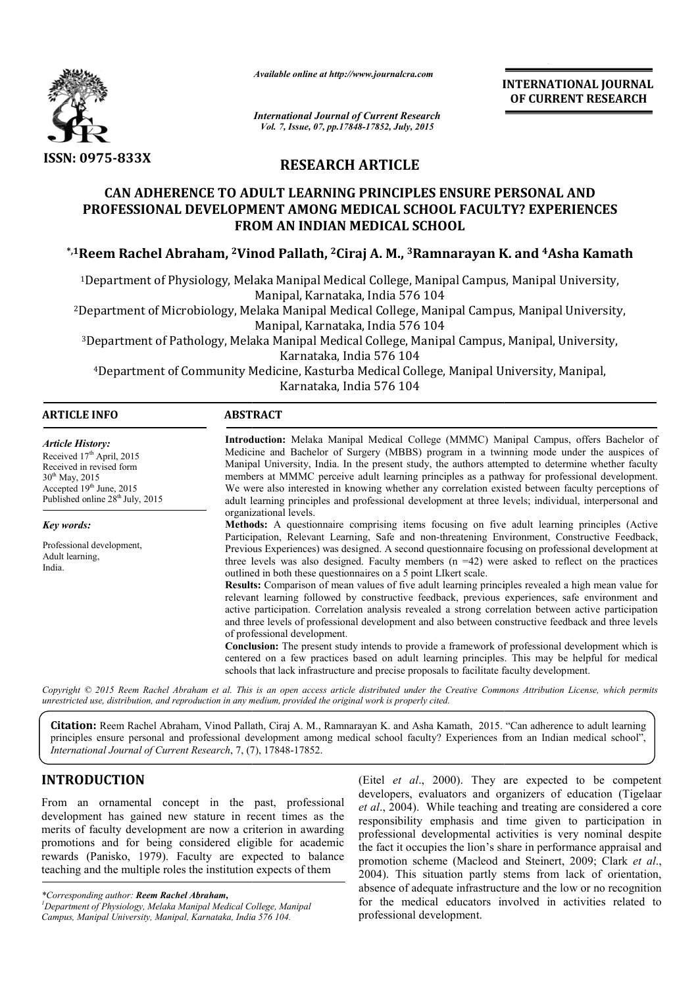

*Available online at http://www.journalcra.com*

## **RESEARCH ARTICLE**

# **CAN ADHERENCE TO ADULT LEARNING PRINCIPLES ENSURE PERSONAL AND PROFESSIONAL DEVELOPMENT AMONG MEDICAL SCHOOL FACULTY? EXPERIENCES FROM AN INDIAN MEDICAL SCHOOL** CAN ADHERENCE TO ADULT LEARNING PRINCIPLES ENSURE PERSONAL AND<br>PROFESSIONAL DEVELOPMENT AMONG MEDICAL SCHOOL FACULTY? EXPERIENCES<br>FROM AN INDIAN MEDICAL SCHOOL<br><sup>\*,1</sup>Reem Rachel Abraham, <sup>2</sup>Vinod Pallath, <sup>2</sup>Ciraj A. M., <sup>3</sup>

|                                                                                                                                                                                                                                                                                                                                                                                                                                               | uuuvic viiine ui nup://www.jvurnuicru.com                                                                                                                                                                                                                                                                        | <b>INTERNATIONAL JOURNAL</b><br>OF CURRENT RESEARCH                                                                                                                                                                                                                                                                                                                                                                                                                                                                                                                                                                                                                |                                                                                                                                                                                                                                                                                                                                                                                                                                                                                                                                                                                                                                                                                                                                                                                                                                                                                                                                                                                                                                                                                                                                                                                                                                                                                                                                                                                                                                                                                                                                                                                                                                                                 |  |  |  |
|-----------------------------------------------------------------------------------------------------------------------------------------------------------------------------------------------------------------------------------------------------------------------------------------------------------------------------------------------------------------------------------------------------------------------------------------------|------------------------------------------------------------------------------------------------------------------------------------------------------------------------------------------------------------------------------------------------------------------------------------------------------------------|--------------------------------------------------------------------------------------------------------------------------------------------------------------------------------------------------------------------------------------------------------------------------------------------------------------------------------------------------------------------------------------------------------------------------------------------------------------------------------------------------------------------------------------------------------------------------------------------------------------------------------------------------------------------|-----------------------------------------------------------------------------------------------------------------------------------------------------------------------------------------------------------------------------------------------------------------------------------------------------------------------------------------------------------------------------------------------------------------------------------------------------------------------------------------------------------------------------------------------------------------------------------------------------------------------------------------------------------------------------------------------------------------------------------------------------------------------------------------------------------------------------------------------------------------------------------------------------------------------------------------------------------------------------------------------------------------------------------------------------------------------------------------------------------------------------------------------------------------------------------------------------------------------------------------------------------------------------------------------------------------------------------------------------------------------------------------------------------------------------------------------------------------------------------------------------------------------------------------------------------------------------------------------------------------------------------------------------------------|--|--|--|
|                                                                                                                                                                                                                                                                                                                                                                                                                                               | <b>International Journal of Current Research</b><br>Vol. 7, Issue, 07, pp.17848-17852, July, 2015                                                                                                                                                                                                                |                                                                                                                                                                                                                                                                                                                                                                                                                                                                                                                                                                                                                                                                    |                                                                                                                                                                                                                                                                                                                                                                                                                                                                                                                                                                                                                                                                                                                                                                                                                                                                                                                                                                                                                                                                                                                                                                                                                                                                                                                                                                                                                                                                                                                                                                                                                                                                 |  |  |  |
| <b>ISSN: 0975-833X</b>                                                                                                                                                                                                                                                                                                                                                                                                                        | <b>RESEARCH ARTICLE</b>                                                                                                                                                                                                                                                                                          |                                                                                                                                                                                                                                                                                                                                                                                                                                                                                                                                                                                                                                                                    |                                                                                                                                                                                                                                                                                                                                                                                                                                                                                                                                                                                                                                                                                                                                                                                                                                                                                                                                                                                                                                                                                                                                                                                                                                                                                                                                                                                                                                                                                                                                                                                                                                                                 |  |  |  |
|                                                                                                                                                                                                                                                                                                                                                                                                                                               | <b>CAN ADHERENCE TO ADULT LEARNING PRINCIPLES ENSURE PERSONAL AND</b><br>PROFESSIONAL DEVELOPMENT AMONG MEDICAL SCHOOL FACULTY? EXPERIENCES<br>FROM AN INDIAN MEDICAL SCHOOL                                                                                                                                     |                                                                                                                                                                                                                                                                                                                                                                                                                                                                                                                                                                                                                                                                    |                                                                                                                                                                                                                                                                                                                                                                                                                                                                                                                                                                                                                                                                                                                                                                                                                                                                                                                                                                                                                                                                                                                                                                                                                                                                                                                                                                                                                                                                                                                                                                                                                                                                 |  |  |  |
|                                                                                                                                                                                                                                                                                                                                                                                                                                               |                                                                                                                                                                                                                                                                                                                  |                                                                                                                                                                                                                                                                                                                                                                                                                                                                                                                                                                                                                                                                    | <sup>*,1</sup> Reem Rachel Abraham, <sup>2</sup> Vinod Pallath, <sup>2</sup> Ciraj A. M., <sup>3</sup> Ramnarayan K. and <sup>4</sup> Asha Kamath                                                                                                                                                                                                                                                                                                                                                                                                                                                                                                                                                                                                                                                                                                                                                                                                                                                                                                                                                                                                                                                                                                                                                                                                                                                                                                                                                                                                                                                                                                               |  |  |  |
|                                                                                                                                                                                                                                                                                                                                                                                                                                               | <sup>1</sup> Department of Physiology, Melaka Manipal Medical College, Manipal Campus, Manipal University,                                                                                                                                                                                                       |                                                                                                                                                                                                                                                                                                                                                                                                                                                                                                                                                                                                                                                                    |                                                                                                                                                                                                                                                                                                                                                                                                                                                                                                                                                                                                                                                                                                                                                                                                                                                                                                                                                                                                                                                                                                                                                                                                                                                                                                                                                                                                                                                                                                                                                                                                                                                                 |  |  |  |
|                                                                                                                                                                                                                                                                                                                                                                                                                                               | Manipal, Karnataka, India 576 104<br><sup>2</sup> Department of Microbiology, Melaka Manipal Medical College, Manipal Campus, Manipal University,                                                                                                                                                                |                                                                                                                                                                                                                                                                                                                                                                                                                                                                                                                                                                                                                                                                    |                                                                                                                                                                                                                                                                                                                                                                                                                                                                                                                                                                                                                                                                                                                                                                                                                                                                                                                                                                                                                                                                                                                                                                                                                                                                                                                                                                                                                                                                                                                                                                                                                                                                 |  |  |  |
|                                                                                                                                                                                                                                                                                                                                                                                                                                               | Manipal, Karnataka, India 576 104<br><sup>3</sup> Department of Pathology, Melaka Manipal Medical College, Manipal Campus, Manipal, University,<br>Karnataka, India 576 104<br><sup>4</sup> Department of Community Medicine, Kasturba Medical College, Manipal University, Manipal,<br>Karnataka, India 576 104 |                                                                                                                                                                                                                                                                                                                                                                                                                                                                                                                                                                                                                                                                    |                                                                                                                                                                                                                                                                                                                                                                                                                                                                                                                                                                                                                                                                                                                                                                                                                                                                                                                                                                                                                                                                                                                                                                                                                                                                                                                                                                                                                                                                                                                                                                                                                                                                 |  |  |  |
| <b>ARTICLE INFO</b>                                                                                                                                                                                                                                                                                                                                                                                                                           | <b>ABSTRACT</b>                                                                                                                                                                                                                                                                                                  |                                                                                                                                                                                                                                                                                                                                                                                                                                                                                                                                                                                                                                                                    |                                                                                                                                                                                                                                                                                                                                                                                                                                                                                                                                                                                                                                                                                                                                                                                                                                                                                                                                                                                                                                                                                                                                                                                                                                                                                                                                                                                                                                                                                                                                                                                                                                                                 |  |  |  |
| <b>Article History:</b><br>Received 17th April, 2015<br>Received in revised form<br>30 <sup>th</sup> May, 2015<br>Accepted 19th June, 2015<br>Published online 28 <sup>th</sup> July, 2015<br>Key words:<br>Professional development,<br>Adult learning,<br>India.                                                                                                                                                                            | organizational levels.<br>outlined in both these questionnaires on a 5 point LIkert scale.<br>of professional development.<br>schools that lack infrastructure and precise proposals to facilitate faculty development.                                                                                          |                                                                                                                                                                                                                                                                                                                                                                                                                                                                                                                                                                                                                                                                    | Introduction: Melaka Manipal Medical College (MMMC) Manipal Campus, offers Bachelor of<br>Medicine and Bachelor of Surgery (MBBS) program in a twinning mode under the auspices of<br>Manipal University, India. In the present study, the authors attempted to determine whether faculty<br>members at MMMC perceive adult learning principles as a pathway for professional development.<br>We were also interested in knowing whether any correlation existed between faculty perceptions of<br>adult learning principles and professional development at three levels; individual, interpersonal and<br>Methods: A questionnaire comprising items focusing on five adult learning principles (Active<br>Participation, Relevant Learning, Safe and non-threatening Environment, Constructive Feedback,<br>Previous Experiences) was designed. A second questionnaire focusing on professional development at<br>three levels was also designed. Faculty members $(n = 42)$ were asked to reflect on the practices<br>Results: Comparison of mean values of five adult learning principles revealed a high mean value for<br>relevant learning followed by constructive feedback, previous experiences, safe environment and<br>active participation. Correlation analysis revealed a strong correlation between active participation<br>and three levels of professional development and also between constructive feedback and three levels<br><b>Conclusion:</b> The present study intends to provide a framework of professional development which is<br>centered on a few practices based on adult learning principles. This may be helpful for medical |  |  |  |
|                                                                                                                                                                                                                                                                                                                                                                                                                                               | unrestricted use, distribution, and reproduction in any medium, provided the original work is properly cited.                                                                                                                                                                                                    |                                                                                                                                                                                                                                                                                                                                                                                                                                                                                                                                                                                                                                                                    | Copyright © 2015 Reem Rachel Abraham et al. This is an open access article distributed under the Creative Commons Attribution License, which permits                                                                                                                                                                                                                                                                                                                                                                                                                                                                                                                                                                                                                                                                                                                                                                                                                                                                                                                                                                                                                                                                                                                                                                                                                                                                                                                                                                                                                                                                                                            |  |  |  |
| International Journal of Current Research, 7, (7), 17848-17852.                                                                                                                                                                                                                                                                                                                                                                               |                                                                                                                                                                                                                                                                                                                  |                                                                                                                                                                                                                                                                                                                                                                                                                                                                                                                                                                                                                                                                    | <b>Citation:</b> Reem Rachel Abraham, Vinod Pallath, Ciraj A. M., Ramnarayan K. and Asha Kamath, 2015. "Can adherence to adult learning<br>principles ensure personal and professional development among medical school faculty? Experiences from an Indian medical school",                                                                                                                                                                                                                                                                                                                                                                                                                                                                                                                                                                                                                                                                                                                                                                                                                                                                                                                                                                                                                                                                                                                                                                                                                                                                                                                                                                                    |  |  |  |
| INTRODUCTION<br>From an ornamental concept in the past, professional<br>development has gained new stature in recent times as the<br>merits of faculty development are now a criterion in awarding<br>promotions and for being considered eligible for academic<br>rewards (Panisko, 1979). Faculty are expected to balance<br>teaching and the multiple roles the institution expects of them<br>*Corresponding author: Reem Rachel Abraham, |                                                                                                                                                                                                                                                                                                                  | (Eitel et al., 2000). They are expected to be competent<br>developers, evaluators and organizers of education (Tigelaar<br>et al., 2004). While teaching and treating are considered a core<br>responsibility emphasis and time given to participation in<br>professional developmental activities is very nominal despite<br>the fact it occupies the lion's share in performance appraisal and<br>promotion scheme (Macleod and Steinert, 2009; Clark et al.,<br>2004). This situation partly stems from lack of orientation,<br>absence of adequate infrastructure and the low or no recognition<br>for the medical educators involved in activities related to |                                                                                                                                                                                                                                                                                                                                                                                                                                                                                                                                                                                                                                                                                                                                                                                                                                                                                                                                                                                                                                                                                                                                                                                                                                                                                                                                                                                                                                                                                                                                                                                                                                                                 |  |  |  |

## **INTRODUCTION**

(Eitel *et al*., 2000). They are expected to be competent developers, evaluators and organizers of education (Tigelaar et al., 2004). While teaching and treating are considered a core responsibility emphasis and time given to participation in professional developmental activities is very nominal despite the fact it occupies the lion's share in performance appraisal and responsibility emphasis and time given to participation in professional developmental activities is very nominal despite the fact it occupies the lion's share in performance appraisal and promotion scheme (Macleod and Stei 2004). This situation partly stems from lack of orientation, absence of adequate infrastructure and the low or no recognition for the medical educators involved in activities related to professional development.

*<sup>\*</sup>Corresponding author: Reem Rachel Abraham, <sup>1</sup>*

*Department of Physiology, Melaka Manipal Medical Colleg College, Manipal Campus, Manipal University, Manipal, Karnataka, India 576 104 104.*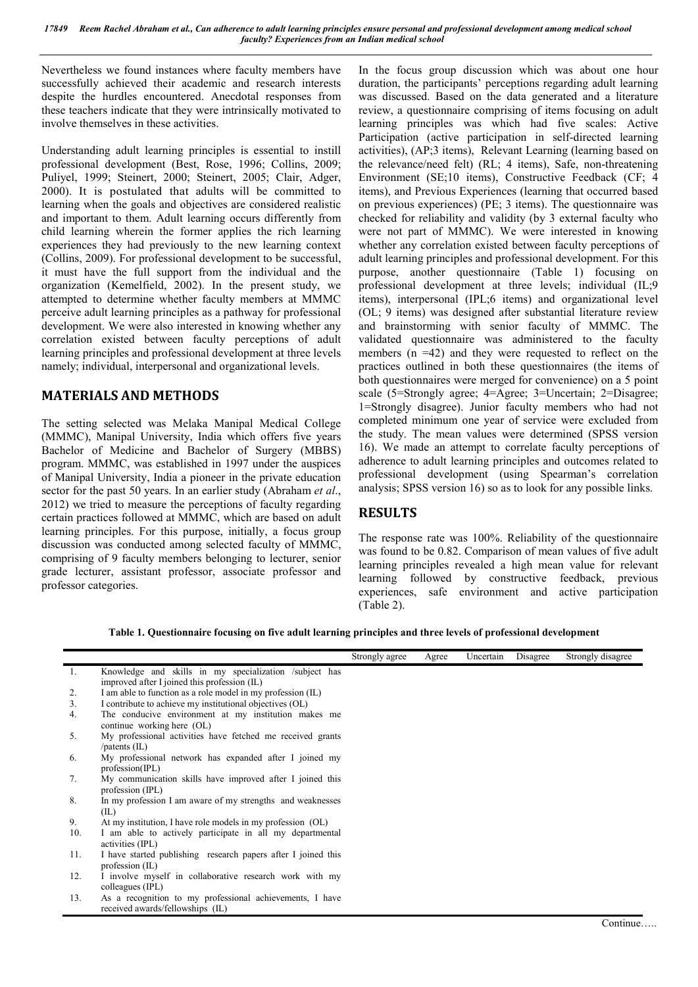Nevertheless we found instances where faculty members have successfully achieved their academic and research interests despite the hurdles encountered. Anecdotal responses from these teachers indicate that they were intrinsically motivated to involve themselves in these activities.

Understanding adult learning principles is essential to instill professional development (Best, Rose, 1996; Collins, 2009; Puliyel, 1999; Steinert, 2000; Steinert, 2005; Clair, Adger, 2000). It is postulated that adults will be committed to learning when the goals and objectives are considered realistic and important to them. Adult learning occurs differently from child learning wherein the former applies the rich learning experiences they had previously to the new learning context (Collins, 2009). For professional development to be successful, it must have the full support from the individual and the organization (Kemelfield, 2002). In the present study, we attempted to determine whether faculty members at MMMC perceive adult learning principles as a pathway for professional development. We were also interested in knowing whether any correlation existed between faculty perceptions of adult learning principles and professional development at three levels namely; individual, interpersonal and organizational levels.

## **MATERIALS AND METHODS**

The setting selected was Melaka Manipal Medical College (MMMC), Manipal University, India which offers five years Bachelor of Medicine and Bachelor of Surgery (MBBS) program. MMMC, was established in 1997 under the auspices of Manipal University, India a pioneer in the private education sector for the past 50 years. In an earlier study (Abraham *et al*., 2012) we tried to measure the perceptions of faculty regarding certain practices followed at MMMC, which are based on adult learning principles. For this purpose, initially, a focus group discussion was conducted among selected faculty of MMMC, comprising of 9 faculty members belonging to lecturer, senior grade lecturer, assistant professor, associate professor and professor categories.

In the focus group discussion which was about one hour duration, the participants' perceptions regarding adult learning was discussed. Based on the data generated and a literature review, a questionnaire comprising of items focusing on adult learning principles was which had five scales: Active Participation (active participation in self-directed learning activities), (AP;3 items), Relevant Learning (learning based on the relevance/need felt) (RL; 4 items), Safe, non-threatening Environment (SE;10 items), Constructive Feedback (CF; 4 items), and Previous Experiences (learning that occurred based on previous experiences) (PE; 3 items). The questionnaire was checked for reliability and validity (by 3 external faculty who were not part of MMMC). We were interested in knowing whether any correlation existed between faculty perceptions of adult learning principles and professional development. For this purpose, another questionnaire (Table 1) focusing on professional development at three levels; individual (IL;9 items), interpersonal (IPL;6 items) and organizational level (OL; 9 items) was designed after substantial literature review and brainstorming with senior faculty of MMMC. The validated questionnaire was administered to the faculty members  $(n = 42)$  and they were requested to reflect on the practices outlined in both these questionnaires (the items of both questionnaires were merged for convenience) on a 5 point scale (5=Strongly agree; 4=Agree; 3=Uncertain; 2=Disagree; 1=Strongly disagree). Junior faculty members who had not completed minimum one year of service were excluded from the study. The mean values were determined (SPSS version 16). We made an attempt to correlate faculty perceptions of adherence to adult learning principles and outcomes related to professional development (using Spearman's correlation analysis; SPSS version 16) so as to look for any possible links.

## **RESULTS**

The response rate was 100%. Reliability of the questionnaire was found to be 0.82. Comparison of mean values of five adult learning principles revealed a high mean value for relevant learning followed by constructive feedback, previous experiences, safe environment and active participation (Table 2).

**Table 1. Questionnaire focusing on five adult learning principles and three levels of professional development**

|     |                                                               | Strongly agree | Agree | Uncertain | Disagree | Strongly disagree |
|-----|---------------------------------------------------------------|----------------|-------|-----------|----------|-------------------|
| -1. | Knowledge and skills in my specialization /subject has        |                |       |           |          |                   |
|     | improved after I joined this profession (IL)                  |                |       |           |          |                   |
| 2.  | I am able to function as a role model in my profession (IL)   |                |       |           |          |                   |
| 3.  | I contribute to achieve my institutional objectives (OL)      |                |       |           |          |                   |
| 4.  | The conducive environment at my institution makes me          |                |       |           |          |                   |
|     | continue working here (OL)                                    |                |       |           |          |                   |
| 5.  | My professional activities have fetched me received grants    |                |       |           |          |                   |
|     | /patents $(II)$                                               |                |       |           |          |                   |
| 6.  | My professional network has expanded after I joined my        |                |       |           |          |                   |
|     | profession(PL)                                                |                |       |           |          |                   |
| 7.  | My communication skills have improved after I joined this     |                |       |           |          |                   |
|     | profession $(IPL)$                                            |                |       |           |          |                   |
| 8.  | In my profession I am aware of my strengths and weaknesses    |                |       |           |          |                   |
|     | (II)                                                          |                |       |           |          |                   |
| 9.  | At my institution, I have role models in my profession (OL)   |                |       |           |          |                   |
| 10. | I am able to actively participate in all my departmental      |                |       |           |          |                   |
|     | activities (IPL)                                              |                |       |           |          |                   |
| 11. | I have started publishing research papers after I joined this |                |       |           |          |                   |
|     | profession $(IL)$                                             |                |       |           |          |                   |
| 12. | I involve myself in collaborative research work with my       |                |       |           |          |                   |
|     | colleagues (IPL)                                              |                |       |           |          |                   |
| 13. | As a recognition to my professional achievements, I have      |                |       |           |          |                   |
|     | received awards/fellowships (IL)                              |                |       |           |          |                   |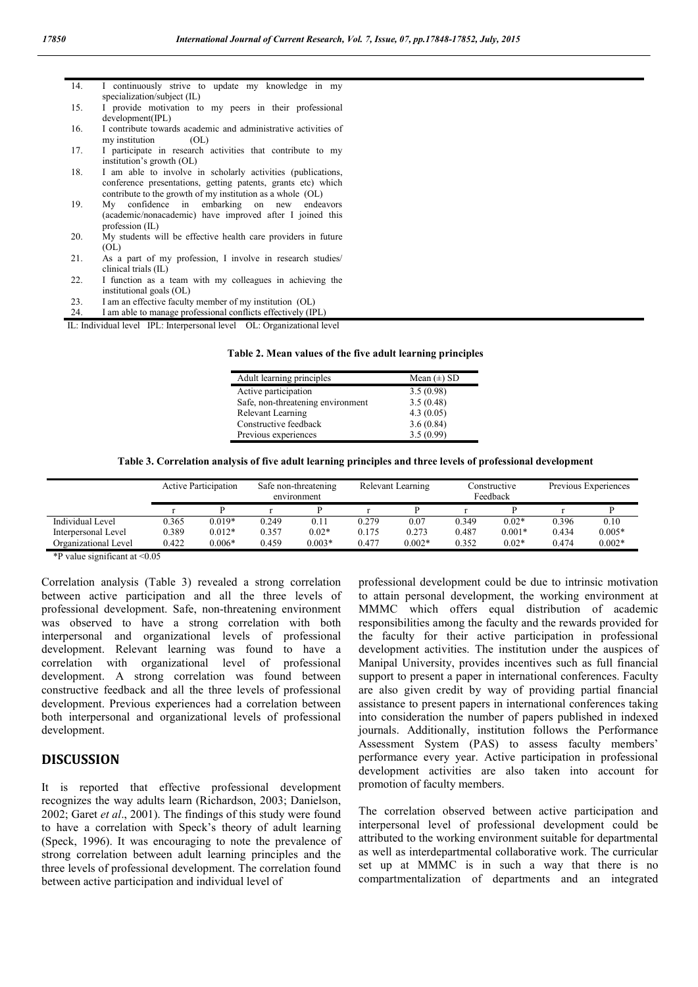| 14. | I continuously strive to update my knowledge in my             |
|-----|----------------------------------------------------------------|
|     | specialization/subject (IL)                                    |
| 15. | I provide motivation to my peers in their professional         |
|     | development(IPL)                                               |
| 16. | I contribute towards academic and administrative activities of |
|     | my institution<br>(OL)                                         |
| 17. | I participate in research activities that contribute to my     |
|     | institution's growth (OL)                                      |
| 18. | I am able to involve in scholarly activities (publications,    |
|     | conference presentations, getting patents, grants etc) which   |
|     | contribute to the growth of my institution as a whole (OL)     |
| 19. | My confidence in embarking on new<br>endeavors                 |
|     | (academic/nonacademic) have improved after I joined this       |
|     | profession $(IL)$                                              |
| 20. | My students will be effective health care providers in future  |
|     | (OL)                                                           |
| 21. | As a part of my profession, I involve in research studies/     |
|     | clinical trials (IL)                                           |
| 22. | I function as a team with my colleagues in achieving the       |
|     | institutional goals (OL)                                       |
| 23. | I am an effective faculty member of my institution (OL)        |
| 24. | I am able to manage professional conflicts effectively (IPL)   |

IL: Individual level IPL: Interpersonal level OL: Organizational level

#### **Table 2. Mean values of the five adult learning principles**

| Adult learning principles         | Mean $(\pm)$ SD |
|-----------------------------------|-----------------|
| Active participation              | 3.5(0.98)       |
| Safe, non-threatening environment | 3.5(0.48)       |
| Relevant Learning                 | 4.3(0.05)       |
| Constructive feedback             | 3.6(0.84)       |
| Previous experiences              | 3.5(0.99)       |

#### **Table 3. Correlation analysis of five adult learning principles and three levels of professional development**

|                      | <b>Active Participation</b> |          | Safe non-threatening<br>environment |          | Relevant Learning |          | Constructive<br>Feedback |          | Previous Experiences |          |
|----------------------|-----------------------------|----------|-------------------------------------|----------|-------------------|----------|--------------------------|----------|----------------------|----------|
|                      |                             |          |                                     |          |                   |          |                          |          |                      |          |
| Individual Level     | 0.365                       | $0.019*$ | 0.249                               | 0.11     | 0.279             | 0.07     | 0.349                    | $0.02*$  | 0.396                | 0.10     |
| Interpersonal Level  | 0.389                       | $0.012*$ | 0.357                               | $0.02*$  | 0.175             | 0.273    | 0.487                    | $0.001*$ | 0.434                | $0.005*$ |
| Organizational Level | 0.422                       | $0.006*$ | 0.459                               | $0.003*$ | 0.477             | $0.002*$ | 0.352                    | $0.02*$  | 0.474                | $0.002*$ |

\*P value significant at <0.05

Correlation analysis (Table 3) revealed a strong correlation between active participation and all the three levels of professional development. Safe, non-threatening environment was observed to have a strong correlation with both interpersonal and organizational levels of professional development. Relevant learning was found to have a correlation with organizational level of professional development. A strong correlation was found between constructive feedback and all the three levels of professional development. Previous experiences had a correlation between both interpersonal and organizational levels of professional development.

### **DISCUSSION**

It is reported that effective professional development recognizes the way adults learn (Richardson, 2003; Danielson, 2002; Garet *et al*., 2001). The findings of this study were found to have a correlation with Speck's theory of adult learning (Speck, 1996). It was encouraging to note the prevalence of strong correlation between adult learning principles and the three levels of professional development. The correlation found between active participation and individual level of

professional development could be due to intrinsic motivation to attain personal development, the working environment at MMMC which offers equal distribution of academic responsibilities among the faculty and the rewards provided for the faculty for their active participation in professional development activities. The institution under the auspices of Manipal University, provides incentives such as full financial support to present a paper in international conferences. Faculty are also given credit by way of providing partial financial assistance to present papers in international conferences taking into consideration the number of papers published in indexed journals. Additionally, institution follows the Performance Assessment System (PAS) to assess faculty members' performance every year. Active participation in professional development activities are also taken into account for promotion of faculty members.

The correlation observed between active participation and interpersonal level of professional development could be attributed to the working environment suitable for departmental as well as interdepartmental collaborative work. The curricular set up at MMMC is in such a way that there is no compartmentalization of departments and an integrated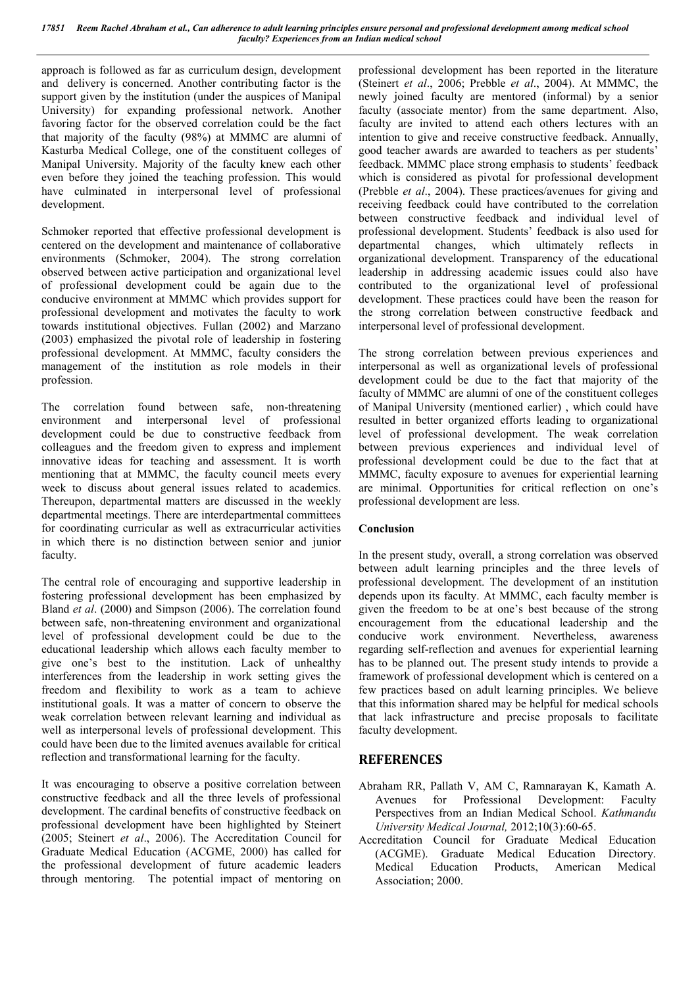approach is followed as far as curriculum design, development and delivery is concerned. Another contributing factor is the support given by the institution (under the auspices of Manipal University) for expanding professional network. Another favoring factor for the observed correlation could be the fact that majority of the faculty (98%) at MMMC are alumni of Kasturba Medical College, one of the constituent colleges of Manipal University. Majority of the faculty knew each other even before they joined the teaching profession. This would have culminated in interpersonal level of professional development.

Schmoker reported that effective professional development is centered on the development and maintenance of collaborative environments (Schmoker, 2004). The strong correlation observed between active participation and organizational level of professional development could be again due to the conducive environment at MMMC which provides support for professional development and motivates the faculty to work towards institutional objectives. Fullan (2002) and Marzano (2003) emphasized the pivotal role of leadership in fostering professional development. At MMMC, faculty considers the management of the institution as role models in their profession.

The correlation found between safe, non-threatening environment and interpersonal level of professional development could be due to constructive feedback from colleagues and the freedom given to express and implement innovative ideas for teaching and assessment. It is worth mentioning that at MMMC, the faculty council meets every week to discuss about general issues related to academics. Thereupon, departmental matters are discussed in the weekly departmental meetings. There are interdepartmental committees for coordinating curricular as well as extracurricular activities in which there is no distinction between senior and junior faculty.

The central role of encouraging and supportive leadership in fostering professional development has been emphasized by Bland *et al*. (2000) and Simpson (2006). The correlation found between safe, non-threatening environment and organizational level of professional development could be due to the educational leadership which allows each faculty member to give one's best to the institution. Lack of unhealthy interferences from the leadership in work setting gives the freedom and flexibility to work as a team to achieve institutional goals. It was a matter of concern to observe the weak correlation between relevant learning and individual as well as interpersonal levels of professional development. This could have been due to the limited avenues available for critical reflection and transformational learning for the faculty.

It was encouraging to observe a positive correlation between constructive feedback and all the three levels of professional development. The cardinal benefits of constructive feedback on professional development have been highlighted by Steinert (2005; Steinert *et al*., 2006). The Accreditation Council for Graduate Medical Education (ACGME, 2000) has called for the professional development of future academic leaders through mentoring. The potential impact of mentoring on professional development has been reported in the literature (Steinert *et al*., 2006; Prebble *et al*., 2004). At MMMC, the newly joined faculty are mentored (informal) by a senior faculty (associate mentor) from the same department. Also, faculty are invited to attend each others lectures with an intention to give and receive constructive feedback. Annually, good teacher awards are awarded to teachers as per students' feedback. MMMC place strong emphasis to students' feedback which is considered as pivotal for professional development (Prebble *et al*., 2004). These practices/avenues for giving and receiving feedback could have contributed to the correlation between constructive feedback and individual level of professional development. Students' feedback is also used for departmental changes, which ultimately reflects in organizational development. Transparency of the educational leadership in addressing academic issues could also have contributed to the organizational level of professional development. These practices could have been the reason for the strong correlation between constructive feedback and interpersonal level of professional development.

The strong correlation between previous experiences and interpersonal as well as organizational levels of professional development could be due to the fact that majority of the faculty of MMMC are alumni of one of the constituent colleges of Manipal University (mentioned earlier) , which could have resulted in better organized efforts leading to organizational level of professional development. The weak correlation between previous experiences and individual level of professional development could be due to the fact that at MMMC, faculty exposure to avenues for experiential learning are minimal. Opportunities for critical reflection on one's professional development are less.

### **Conclusion**

In the present study, overall, a strong correlation was observed between adult learning principles and the three levels of professional development. The development of an institution depends upon its faculty. At MMMC, each faculty member is given the freedom to be at one's best because of the strong encouragement from the educational leadership and the conducive work environment. Nevertheless, awareness regarding self-reflection and avenues for experiential learning has to be planned out. The present study intends to provide a framework of professional development which is centered on a few practices based on adult learning principles. We believe that this information shared may be helpful for medical schools that lack infrastructure and precise proposals to facilitate faculty development.

### **REFERENCES**

- Abraham RR, Pallath V, AM C, Ramnarayan K, Kamath A. Avenues for Professional Development: Faculty Perspectives from an Indian Medical School. *Kathmandu University Medical Journal,* 2012;10(3):60-65.
- Accreditation Council for Graduate Medical Education (ACGME). Graduate Medical Education Directory. Medical Education Products, American Medical Association; 2000.